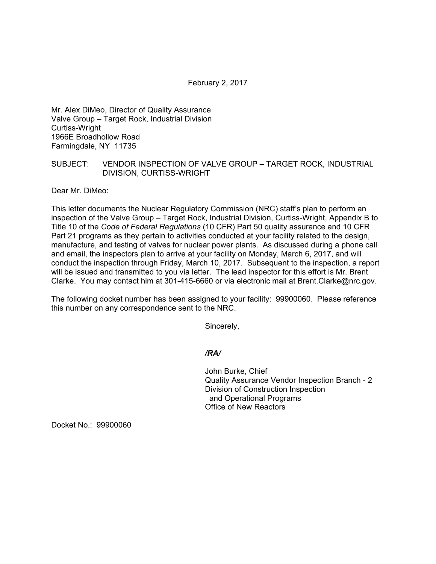February 2, 2017

Mr. Alex DiMeo, Director of Quality Assurance Valve Group – Target Rock, Industrial Division Curtiss-Wright 1966E Broadhollow Road Farmingdale, NY 11735

## SUBJECT: VENDOR INSPECTION OF VALVE GROUP – TARGET ROCK, INDUSTRIAL DIVISION, CURTISS-WRIGHT

Dear Mr. DiMeo:

This letter documents the Nuclear Regulatory Commission (NRC) staff's plan to perform an inspection of the Valve Group – Target Rock, Industrial Division, Curtiss-Wright, Appendix B to Title 10 of the *Code of Federal Regulations* (10 CFR) Part 50 quality assurance and 10 CFR Part 21 programs as they pertain to activities conducted at your facility related to the design, manufacture, and testing of valves for nuclear power plants. As discussed during a phone call and email, the inspectors plan to arrive at your facility on Monday, March 6, 2017, and will conduct the inspection through Friday, March 10, 2017. Subsequent to the inspection, a report will be issued and transmitted to you via letter. The lead inspector for this effort is Mr. Brent Clarke. You may contact him at 301-415-6660 or via electronic mail at Brent.Clarke@nrc.gov.

The following docket number has been assigned to your facility: 99900060. Please reference this number on any correspondence sent to the NRC.

Sincerely,

*/RA/* 

John Burke, Chief Quality Assurance Vendor Inspection Branch - 2 Division of Construction Inspection and Operational Programs Office of New Reactors

Docket No.: 99900060